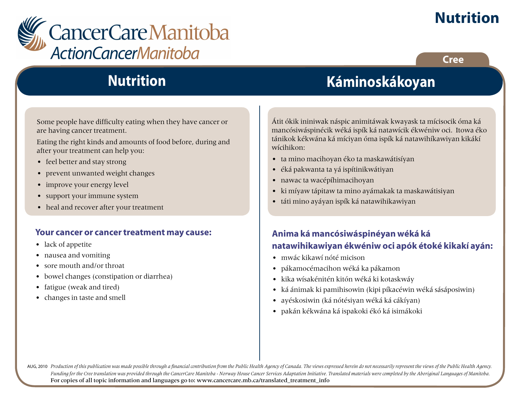

**Cree**



## **Nutrition**

Some people have difficulty eating when they have cancer or are having cancer treatment.

Eating the right kinds and amounts of food before, during and after your treatment can help you:

- feel better and stay strong
- prevent unwanted weight changes
- improve your energy level
- support your immune system
- heal and recover after your treatment

#### **Your cancer or cancer treatment may cause:**

- lack of appetite
- nausea and vomiting
- sore mouth and/or throat
- bowel changes (constipation or diarrhea)
- fatigue (weak and tired)
- changes in taste and smell

# **Káminoskákoyan**

Átit ókik ininiwak náspic animitáwak kwayask ta mícisocik óma ká mancósiwáspinécik wéká ispík ká natawícik ékwéniw oci. Itowa éko tánikok kékwána ká míciyan óma ispík ká natawihíkawiyan kikákí wícihikon:

- ta mino macihoyan éko ta maskawátisíyan
- éká pakwanta ta yá ispítinikwátiyan
- nawac ta wacépíhimacihoyan
- ki míyaw tápitaw ta mino ayámakak ta maskawátisiyan
- táti mino ayáyan ispík ká natawihikawiyan

#### **Anima ká mancósiwáspinéyan wéká ká natawihikawiyan ékwéniw oci apók étoké kikakí ayán:**

- mwác kikawí nóté micison
- pákamocémacihon wéká ka pákamon
- kika wísakénitén kitón wéká ki kotaskwáy
- ká ánimak ki pamihisowin (kipi píkacéwin wéká sásáposiwin)
- ayéskosiwin (ká nótésiyan wéká ká cákíyan)
- pakán kékwána ká ispakoki ékó ká isimákoki

AUG, 2010 Production of this publication was made possible through a financial contribution from the Public Health Agency of Canada. The views expressed herein do not necessarily represent the views of the Public Health Ag *Funding for the Cree translation was provided through the CancerCare Manitoba - Norway House Cancer Services Adaptation Initiative. Translated materials were completed by the Aboriginal Languages of Manitoba.* For copies of all topic information and languages go to: www.cancercare.mb.ca/translated\_treatment\_info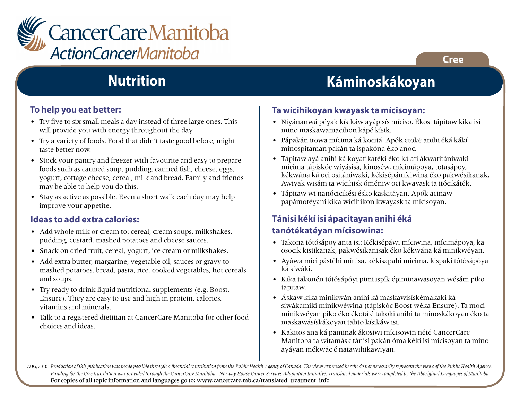

## **Nutrition**

#### **To help you eat better:**

- Try five to six small meals a day instead of three large ones. This will provide you with energy throughout the day.
- Try a variety of foods. Food that didn't taste good before, might taste better now.
- Stock your pantry and freezer with favourite and easy to prepare foods such as canned soup, pudding, canned fish, cheese, eggs, yogurt, cottage cheese, cereal, milk and bread. Family and friends may be able to help you do this.
- Stay as active as possible. Even a short walk each day may help improve your appetite.

#### **Ideas to add extra calories:**

- Add whole milk or cream to: cereal, cream soups, milkshakes, pudding, custard, mashed potatoes and cheese sauces.
- Snack on dried fruit, cereal, yogurt, ice cream or milkshakes.
- Add extra butter, margarine, vegetable oil, sauces or gravy to mashed potatoes, bread, pasta, rice, cooked vegetables, hot cereals and soups.
- Try ready to drink liquid nutritional supplements (e.g. Boost, Ensure). They are easy to use and high in protein, calories, vitamins and minerals.
- Talk to a registered dietitian at CancerCare Manitoba for other food choices and ideas.

# **Káminoskákoyan**

#### **Ta wícihikoyan kwayask ta mícisoyan:**

- Niyánanwá péyak kísikáw ayápisís míciso. Ékosi tápitaw kika isi mino maskawamacihon kápé kísik.
- Pápakán itowa mícima ká kocitá. Apók étoké anihi éká kákí minospitaman pakán ta ispakóna éko anoc.
- Tápitaw ayá anihi ká koyatikatéki éko ká ati ákwatitániwaki mícima tápiskóc wíyásisa, kinoséw, mícimápoya, totasápoy, kékwána ká oci ositániwaki, kékisépámíciwina éko pakwésikanak. Awiyak wísám ta wícihisk óméniw oci kwayask ta itócikáték.
- Tápitaw wi nanócicikési ésko kaskitáyan. Apók acinaw papámotéyani kika wícihikon kwayask ta mícisoyan.

### **Tánisi kékí isi ápacitayan anihi éká**

#### **tanótékatéyan mícisowina:**

- Takona tótósápoy anta isi: Kékisépáwi míciwina, mícimápoya, ka ósocik kistikának, pakwésikanisak éko kékwána ká minikwéyan.
- Ayáwa míci pástéhi mínisa, kékisapahi mícima, kispaki tótósápóya ká síwáki.
- Kika takonén tótósápóyi pimi ispík épiminawasoyan wésám piko tápitaw.
- Áskaw kika minikwán anihi ká maskawisískémakaki ká síwákamiki minikwéwina (tápiskóc Boost wéka Ensure). Ta moci minikwéyan piko éko ékotá é takoki anihi ta minoskákoyan éko ta maskawásískákoyan tahto kísikáw isi.
- Kakitos ana ká paminak ákosiwi mícisowin nété CancerCare Manitoba ta wítamásk tánisi pakán óma kékí isi mícisoyan ta mino ayáyan mékwác é natawihikawiyan.

AUG, 2010 Production of this publication was made possible through a financial contribution from the Public Health Agency of Canada. The views expressed herein do not necessarily represent the views of the Public Health Ag *Funding for the Cree translation was provided through the CancerCare Manitoba - Norway House Cancer Services Adaptation Initiative. Translated materials were completed by the Aboriginal Languages of Manitoba.* For copies of all topic information and languages go to: www.cancercare.mb.ca/translated\_treatment\_info

#### **Cree**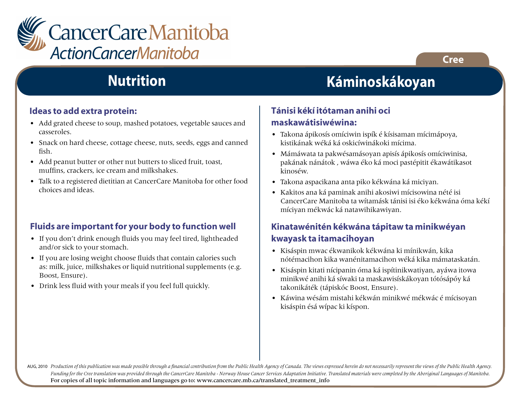

## **Nutrition**

#### **Ideas to add extra protein:**

- Add grated cheese to soup, mashed potatoes, vegetable sauces and casseroles.
- Snack on hard cheese, cottage cheese, nuts, seeds, eggs and canned fish.
- Add peanut butter or other nut butters to sliced fruit, toast, muffins, crackers, ice cream and milkshakes.
- Talk to a registered dietitian at CancerCare Manitoba for other food choices and ideas.

#### **Fluids are important for your body to function well**

- If you don't drink enough fluids you may feel tired, lightheaded and/or sick to your stomach.
- If you are losing weight choose fluids that contain calories such as: milk, juice, milkshakes or liquid nutritional supplements (e.g. Boost, Ensure).
- Drink less fluid with your meals if you feel full quickly.

# **Káminoskákoyan**

#### **Tánisi kékí itótaman anihi oci maskawátisiwéwina:**

- Takona ápikosís omíciwin ispík é kísisaman mícimápoya, kistikának wéká ká oskicíwinákoki mícima.
- Mámáwata ta pakwésamásoyan apisís ápikosís omíciwinisa, pakának nánátok , wáwa éko ká moci pastépitit ékawátikasot kinoséw.
- Takona aspacikana anta piko kékwána ká miciyan.
- Kakitos ana ká paminak anihi akosiwi mícisowina nété isi CancerCare Manitoba ta wítamásk tánisi isi éko kékwána óma kékí míciyan mékwác ká natawihikawiyan.

#### **Kinatawénitén kékwána tápitaw ta minikwéyan kwayask ta itamacihoyan**

- Kisáspin mwac ékwanikok kékwána ki mínikwán, kika nótémacihon kika wanénitamacihon wéká kika mámataskatán.
- Kisáspin kitati nícipanin óma ká ispítinikwatiyan, ayáwa itowa minikwé anihi ká síwaki ta maskawisískákoyan tótósápóy ká takonikáték (tápiskóc Boost, Ensure).
- Káwina wésám mistahi kékwán minikwé mékwác é mícisoyan kisáspin ésá wípac ki kíspon.

AUG, 2010 Production of this publication was made possible through a financial contribution from the Public Health Agency of Canada. The views expressed herein do not necessarily represent the views of the Public Health Ag *Funding for the Cree translation was provided through the CancerCare Manitoba - Norway House Cancer Services Adaptation Initiative. Translated materials were completed by the Aboriginal Languages of Manitoba.* For copies of all topic information and languages go to: www.cancercare.mb.ca/translated\_treatment\_info

**Cree**